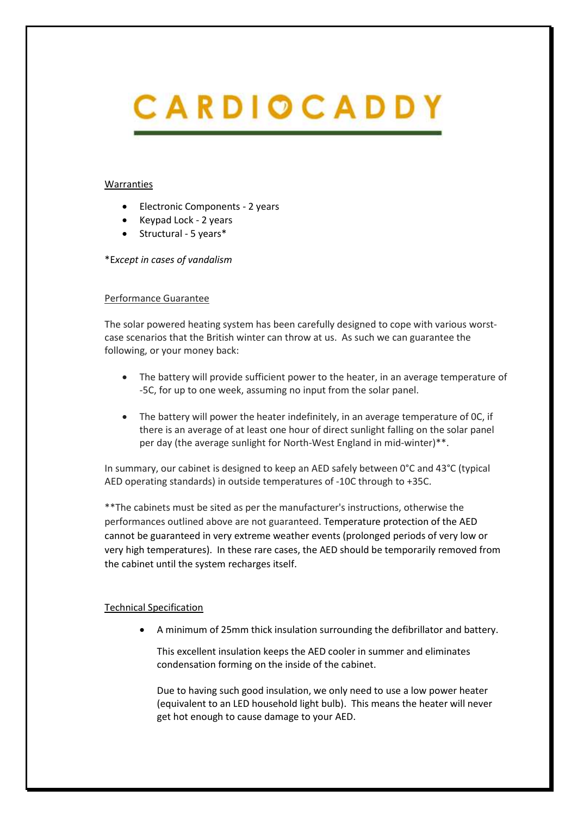# CARDIOCADDY

#### Warranties

- Electronic Components 2 years
- Keypad Lock 2 years
- Structural 5 years\*

## \*E*xcept in cases of vandalism*

## Performance Guarantee

The solar powered heating system has been carefully designed to cope with various worstcase scenarios that the British winter can throw at us. As such we can guarantee the following, or your money back:

- The battery will provide sufficient power to the heater, in an average temperature of -5C, for up to one week, assuming no input from the solar panel.
- The battery will power the heater indefinitely, in an average temperature of 0C, if there is an average of at least one hour of direct sunlight falling on the solar panel per day (the average sunlight for North-West England in mid-winter)\*\*.

In summary, our cabinet is designed to keep an AED safely between 0°C and 43°C (typical AED operating standards) in outside temperatures of -10C through to +35C.

\*\*The cabinets must be sited as per the manufacturer's instructions, otherwise the performances outlined above are not guaranteed. Temperature protection of the AED cannot be guaranteed in very extreme weather events (prolonged periods of very low or very high temperatures). In these rare cases, the AED should be temporarily removed from the cabinet until the system recharges itself.

## Technical Specification

• A minimum of 25mm thick insulation surrounding the defibrillator and battery.

This excellent insulation keeps the AED cooler in summer and eliminates condensation forming on the inside of the cabinet.

Due to having such good insulation, we only need to use a low power heater (equivalent to an LED household light bulb). This means the heater will never get hot enough to cause damage to your AED.